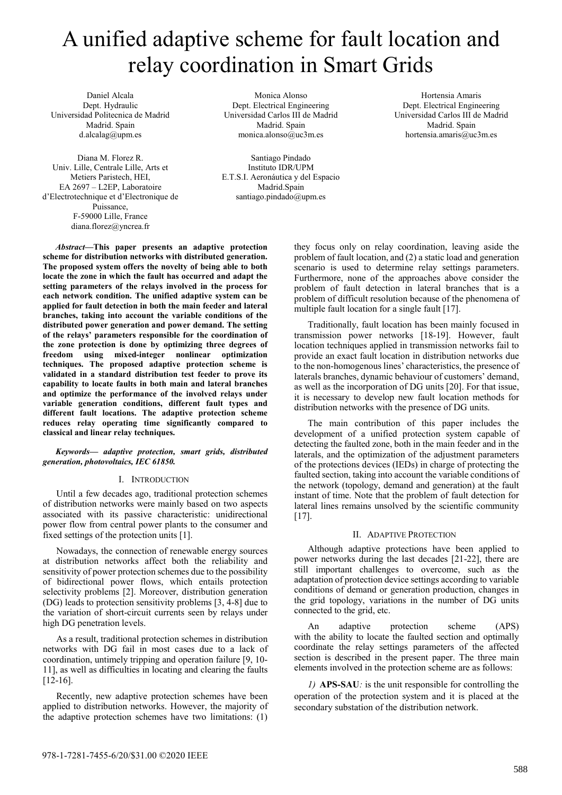# A unified adaptive scheme for fault location and relay coordination in Smart Grids

Daniel Alcala Dept. Hydraulic Universidad Politecnica de Madrid Madrid. Spain d.alcalag@upm.es

Diana M. Florez R. Univ. Lille, Centrale Lille, Arts et Metiers Paristech, HEI, EA 2697 – L2EP, Laboratoire d'Electrotechnique et d'Electronique de Puissance, F-59000 Lille, France diana.florez@yncrea.fr

Monica Alonso Dept. Electrical Engineering Universidad Carlos III de Madrid Madrid. Spain monica.alonso@uc3m.es

Santiago Pindado Instituto IDR/UPM E.T.S.I. Aeronáutica y del Espacio Madrid.Spain santiago.pindado@upm.es

*Abstract***—This paper presents an adaptive protection scheme for distribution networks with distributed generation. The proposed system offers the novelty of being able to both locate the zone in which the fault has occurred and adapt the setting parameters of the relays involved in the process for each network condition. The unified adaptive system can be applied for fault detection in both the main feeder and lateral branches, taking into account the variable conditions of the distributed power generation and power demand. The setting of the relays' parameters responsible for the coordination of the zone protection is done by optimizing three degrees of freedom using mixed-integer nonlinear optimization techniques. The proposed adaptive protection scheme is validated in a standard distribution test feeder to prove its capability to locate faults in both main and lateral branches and optimize the performance of the involved relays under variable generation conditions, different fault types and different fault locations. The adaptive protection scheme reduces relay operating time significantly compared to classical and linear relay techniques.**

*Keywords— adaptive protection, smart grids, distributed generation, photovoltaics, IEC 61850.* 

#### I. INTRODUCTION

Until a few decades ago, traditional protection schemes of distribution networks were mainly based on two aspects associated with its passive characteristic: unidirectional power flow from central power plants to the consumer and fixed settings of the protection units [1].

Nowadays, the connection of renewable energy sources at distribution networks affect both the reliability and sensitivity of power protection schemes due to the possibility of bidirectional power flows, which entails protection selectivity problems [2]. Moreover, distribution generation (DG) leads to protection sensitivity problems [3, 4-8] due to the variation of short-circuit currents seen by relays under high DG penetration levels.

As a result, traditional protection schemes in distribution networks with DG fail in most cases due to a lack of coordination, untimely tripping and operation failure [9, 10- 11], as well as difficulties in locating and clearing the faults [12-16].

Recently, new adaptive protection schemes have been applied to distribution networks. However, the majority of the adaptive protection schemes have two limitations: (1)

they focus only on relay coordination, leaving aside the problem of fault location, and (2) a static load and generation scenario is used to determine relay settings parameters. Furthermore, none of the approaches above consider the problem of fault detection in lateral branches that is a problem of difficult resolution because of the phenomena of multiple fault location for a single fault [17].

Traditionally, fault location has been mainly focused in transmission power networks [18-19]. However, fault location techniques applied in transmission networks fail to provide an exact fault location in distribution networks due to the non-homogenous lines' characteristics, the presence of laterals branches, dynamic behaviour of customers' demand, as well as the incorporation of DG units [20]. For that issue, it is necessary to develop new fault location methods for distribution networks with the presence of DG units.

The main contribution of this paper includes the development of a unified protection system capable of detecting the faulted zone, both in the main feeder and in the laterals, and the optimization of the adjustment parameters of the protections devices (IEDs) in charge of protecting the faulted section, taking into account the variable conditions of the network (topology, demand and generation) at the fault instant of time. Note that the problem of fault detection for lateral lines remains unsolved by the scientific community [17].

### II. ADAPTIVE PROTECTION

Although adaptive protections have been applied to power networks during the last decades [21-22], there are still important challenges to overcome, such as the adaptation of protection device settings according to variable conditions of demand or generation production, changes in the grid topology, variations in the number of DG units connected to the grid, etc.

An adaptive protection scheme (APS) with the ability to locate the faulted section and optimally coordinate the relay settings parameters of the affected section is described in the present paper. The three main elements involved in the protection scheme are as follows:

*1)* **APS-SAU***:* is the unit responsible for controlling the operation of the protection system and it is placed at the secondary substation of the distribution network.

Hortensia Amaris Dept. Electrical Engineering Universidad Carlos III de Madrid Madrid. Spain hortensia.amaris@uc3m.es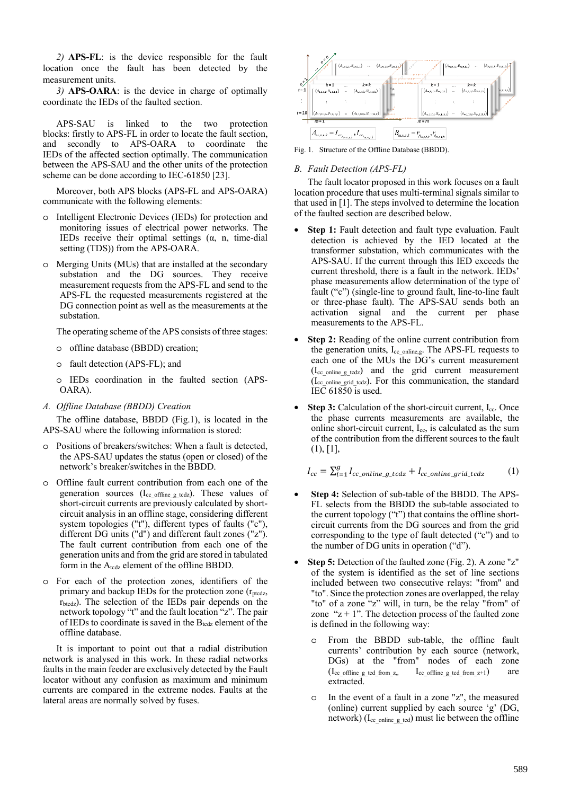*2)* **APS-FL**: is the device responsible for the fault location once the fault has been detected by the measurement units.

*3)* **APS-OARA**: is the device in charge of optimally coordinate the IEDs of the faulted section.

APS-SAU is linked to the two protection blocks: firstly to APS-FL in order to locate the fault section, and secondly to APS-OARA to coordinate the IEDs of the affected section optimally. The communication between the APS-SAU and the other units of the protection scheme can be done according to IEC-61850 [23].

Moreover, both APS blocks (APS-FL and APS-OARA) communicate with the following elements:

- o Intelligent Electronic Devices (IEDs) for protection and monitoring issues of electrical power networks. The IEDs receive their optimal settings  $(\alpha, n,$  time-dial setting (TDS)) from the APS-OARA.
- o Merging Units (MUs) that are installed at the secondary substation and the DG sources. They receive measurement requests from the APS-FL and send to the APS-FL the requested measurements registered at the DG connection point as well as the measurements at the substation.

The operating scheme of the APS consists of three stages:

- o offline database (BBDD) creation;
- o fault detection (APS-FL); and
- o IEDs coordination in the faulted section (APS-OARA).
- *A. Offline Database (BBDD) Creation*

The offline database, BBDD (Fig.1), is located in the APS-SAU where the following information is stored:

- o Positions of breakers/switches: When a fault is detected, the APS-SAU updates the status (open or closed) of the network's breaker/switches in the BBDD.
- o Offline fault current contribution from each one of the generation sources ( $I_{cc}$  offline g tcdz). These values of short-circuit currents are previously calculated by shortcircuit analysis in an offline stage, considering different system topologies ("t"), different types of faults ("c"), different DG units ("d") and different fault zones ("z"). The fault current contribution from each one of the generation units and from the grid are stored in tabulated form in the A<sub>tcdz</sub> element of the offline BBDD.
- o For each of the protection zones, identifiers of the primary and backup IEDs for the protection zone  $(r_{\text{ptcdz}})$ , rbtcdz). The selection of the IEDs pair depends on the network topology "t" and the fault location "z". The pair of IEDs to coordinate is saved in the  $B_{\text{tedz}}$  element of the offline database.

It is important to point out that a radial distribution network is analysed in this work. In these radial networks faults in the main feeder are exclusively detected by the Fault locator without any confusion as maximum and minimum currents are compared in the extreme nodes. Faults at the lateral areas are normally solved by fuses.



Fig. 1. Structure of the Offline Database (BBDD).

#### *B. Fault Detection (APS-FL)*

The fault locator proposed in this work focuses on a fault location procedure that uses multi-terminal signals similar to that used in [1]. The steps involved to determine the location of the faulted section are described below.

- **Step 1:** Fault detection and fault type evaluation. Fault detection is achieved by the IED located at the transformer substation, which communicates with the APS-SAU. If the current through this IED exceeds the current threshold, there is a fault in the network. IEDs' phase measurements allow determination of the type of fault ("c") (single-line to ground fault, line-to-line fault or three-phase fault). The APS-SAU sends both an activation signal and the current per phase measurements to the APS-FL.
- **Step 2:** Reading of the online current contribution from the generation units, Icc\_online,g. The APS-FL requests to each one of the MUs the DG's current measurement  $(I_{cc})$  online g todz) and the grid current measurement (Icc\_online\_grid\_tcdz). For this communication, the standard IEC 61850 is used.
- **Step 3:** Calculation of the short-circuit current, I<sub>cc</sub>. Once the phase currents measurements are available, the online short-circuit current, Icc, is calculated as the sum of the contribution from the different sources to the fault (1), [1],

$$
I_{cc} = \sum_{i=1}^{g} I_{cc\_online\_g\_tcdz} + I_{cc\_online\_grid\_tcdz} \tag{1}
$$

- **Step 4:** Selection of sub-table of the BBDD. The APS-FL selects from the BBDD the sub-table associated to the current topology ("t") that contains the offline shortcircuit currents from the DG sources and from the grid corresponding to the type of fault detected ("c") and to the number of DG units in operation ("d").
- **Step 5:** Detection of the faulted zone (Fig. 2). A zone "z" of the system is identified as the set of line sections included between two consecutive relays: "from" and "to". Since the protection zones are overlapped, the relay "to" of a zone "z" will, in turn, be the relay "from" of zone " $z + 1$ ". The detection process of the faulted zone is defined in the following way:
	- o From the BBDD sub-table, the offline fault currents' contribution by each source (network, DGs) at the "from" nodes of each zone  $(I_{cc\_offline\_g\_tcd\_from\_z}, \qquad I_{cc\_offline\_g\_tcd\_from\_z+1})$  are extracted.
	- o In the event of a fault in a zone "z", the measured (online) current supplied by each source 'g' (DG, network) ( $I_{cc\_online\_g\_tcd}$ ) must lie between the offline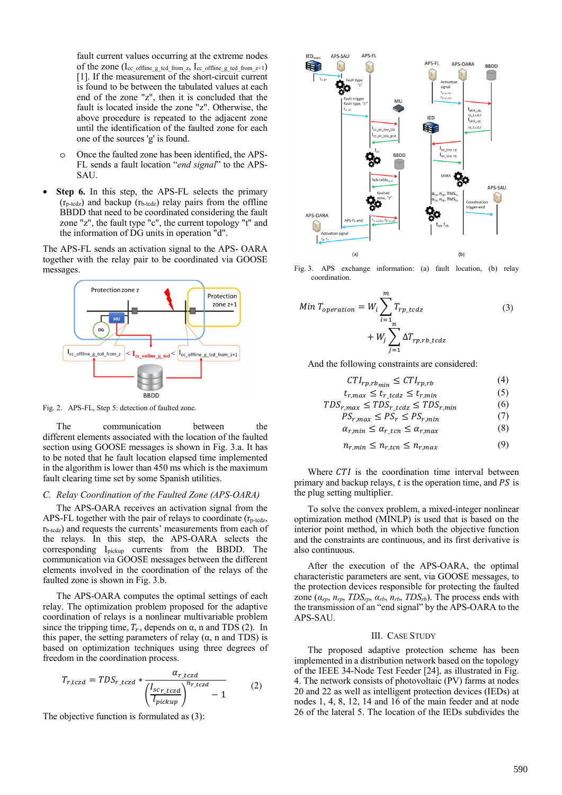fault current values occurring at the extreme nodes of the zone  $(I_{cc\_offline\_g\_tcd\_from\_z}, I_{cc\_offline\_g\_tcd\_from\_z+1})$ [1]. If the measurement of the short-circuit current is found to be between the tabulated values at each end of the zone "z", then it is concluded that the fault is located inside the zone "z". Otherwise, the above procedure is repeated to the adjacent zone until the identification of the faulted zone for each one of the sources 'g' is found.

- o Once the faulted zone has been identified, the APS-FL sends a fault location "*end signal*" to the APS-SAU.
- **Step 6.** In this step, the APS-FL selects the primary  $(r_{p\text{-}tedz})$  and backup  $(r_{b\text{-}tedz})$  relay pairs from the offline BBDD that need to be coordinated considering the fault zone "z", the fault type "c", the current topology "t" and the information of DG units in operation "d".

The APS-FL sends an activation signal to the APS- OARA together with the relay pair to be coordinated via GOOSE messages.



Fig. 2. APS-FL, Step 5: detection of faulted zone.

The communication between the different elements associated with the location of the faulted section using GOOSE messages is shown in Fig. 3.a. It has to be noted that he fault location elapsed time implemented in the algorithm is lower than 450 ms which is the maximum fault clearing time set by some Spanish utilities.

#### *C. Relay Coordination of the Faulted Zone (APS-OARA)*

The APS-OARA receives an activation signal from the APS-FL together with the pair of relays to coordinate  $(r_{p-\text{tcdz}})$  $r_{b-tcdz}$ ) and requests the currents' measurements from each of the relays. In this step, the APS-OARA selects the corresponding I<sub>pickup</sub> currents from the BBDD. The communication via GOOSE messages between the different elements involved in the coordination of the relays of the faulted zone is shown in Fig. 3.b.

The APS-OARA computes the optimal settings of each relay. The optimization problem proposed for the adaptive coordination of relays is a nonlinear multivariable problem since the tripping time,  $T_r$ , depends on  $\alpha$ , n and TDS (2). In this paper, the setting parameters of relay  $(\alpha, n \text{ and } TDS)$  is based on optimization techniques using three degrees of freedom in the coordination process.

$$
T_{r,tczd} = TDS_{r\_tczd} * \frac{\alpha_{r\_tczd}}{\left(\frac{I_{sc_{r\_tczd}}}{I_{pickup}}\right)^{n_{r\_tczd}} - 1}
$$
 (2)

The objective function is formulated as (3):



Fig. 3. APS exchange information: (a) fault location, (b) relay coordination.

$$
Min T_{operation} = W_i \sum_{i=1}^{m} T_{rp\_tcdz}
$$
  
+ 
$$
W_j \sum_{j=1}^{m} \Delta T_{rp,rb\_tcdz}
$$
 (3)

And the following constraints are considered:

$$
CTI_{rp,rb_{min}} \leq CTI_{rp,rb} \tag{4}
$$

$$
t_{r,max} \le t_{r\_tcdz} \le t_{r,min} \tag{5}
$$

$$
TDS_{r,max} \leq TDS_{r\_tcdz} \leq TDS_{r,min} \tag{6}
$$

$$
PS_{r,max} \le PS_r \le PS_{r,min} \tag{7}
$$
  

$$
\alpha_{r,min} \le \alpha_{r,tm} \le \alpha_{r,max} \tag{8}
$$

$$
\alpha_{r,min} \le \alpha_{r\_ten} \le \alpha_{r,max} \tag{8}
$$

$$
n_{r,min} \le n_{r,ten} \le n_{r,max} \tag{9}
$$

Where CTI is the coordination time interval between primary and backup relays,  $t$  is the operation time, and  $PS$  is the plug setting multiplier.

To solve the convex problem, a mixed-integer nonlinear optimization method (MINLP) is used that is based on the interior point method, in which both the objective function and the constraints are continuous, and its first derivative is also continuous.

After the execution of the APS-OARA, the optimal characteristic parameters are sent, via GOOSE messages, to the protection devices responsible for protecting the faulted zone  $(\alpha_{rp}, n_{rp}, TDS_{rp}, \alpha_{rb}, n_{rb}, TDS_{rb})$ . The process ends with the transmission of an "end signal" by the APS-OARA to the APS-SAU.

#### III. CASE STUDY

The proposed adaptive protection scheme has been implemented in a distribution network based on the topology of the IEEE 34-Node Test Feeder [24], as illustrated in Fig. 4. The network consists of photovoltaic (PV) farms at nodes 20 and 22 as well as intelligent protection devices (IEDs) at nodes 1, 4, 8, 12, 14 and 16 of the main feeder and at node 26 of the lateral 5. The location of the IEDs subdivides the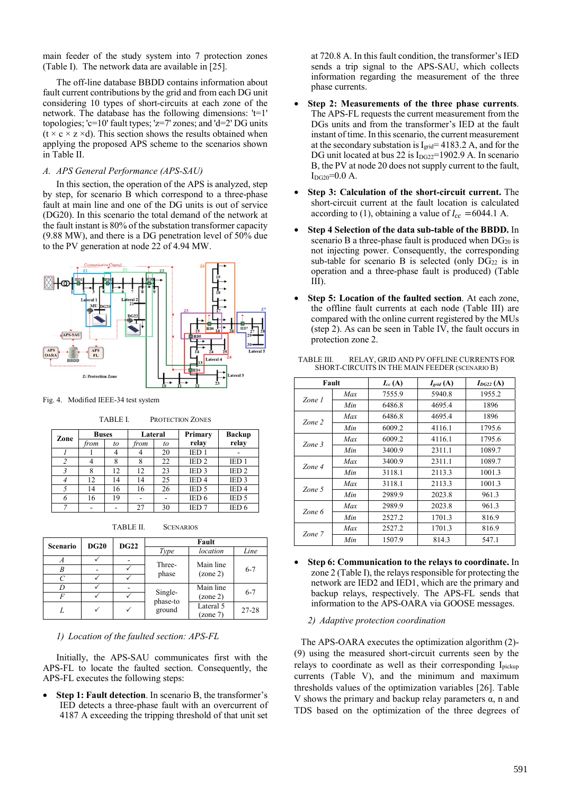main feeder of the study system into 7 protection zones (Table I). The network data are available in [25].

The off-line database BBDD contains information about fault current contributions by the grid and from each DG unit considering 10 types of short-circuits at each zone of the network. The database has the following dimensions: 't=1' topologies; 'c=10' fault types; 'z=7' zones; and 'd=2' DG units  $(t \times c \times z \times d)$ . This section shows the results obtained when applying the proposed APS scheme to the scenarios shown in Table II.

#### *A. APS General Performance (APS-SAU)*

In this section, the operation of the APS is analyzed, step by step, for scenario B which correspond to a three-phase fault at main line and one of the DG units is out of service (DG20). In this scenario the total demand of the network at the fault instant is 80% of the substation transformer capacity (9.88 MW), and there is a DG penetration level of 50% due to the PV generation at node 22 of 4.94 MW.



Fig. 4. Modified IEEE-34 test system

TABLE I. PROTECTION ZONES

| Zone | <b>Buses</b> |    | Lateral |    | Primary          | <b>Backup</b>    |
|------|--------------|----|---------|----|------------------|------------------|
|      | from         | to | from    | to | relay            | relay            |
|      |              | 4  |         | 20 | IED <sub>1</sub> |                  |
|      |              | 8  | 8       | 22 | IED <sub>2</sub> | IED <sub>1</sub> |
|      | 8            | 12 | 12      | 23 | IED <sub>3</sub> | IED <sub>2</sub> |
|      | 12           | 14 | 14      | 25 | IED <sub>4</sub> | IED <sub>3</sub> |
|      | 14           | 16 | 16      | 26 | IED <sub>5</sub> | IED <sub>4</sub> |
|      | 16           | 19 |         |    | IED <sub>6</sub> | IED <sub>5</sub> |
|      |              |    | 27      | 30 | IED <sub>7</sub> | IED <sub>6</sub> |

TABLE II. SCENARIOS

| <b>DG20</b><br>Scenario |  | <b>DG22</b> | Fault               |           |         |  |
|-------------------------|--|-------------|---------------------|-----------|---------|--|
|                         |  |             | Type                | location  | Line    |  |
| A                       |  |             | Three-              | Main line |         |  |
| B                       |  |             |                     |           | $6 - 7$ |  |
|                         |  |             | phase               | (zone 2)  |         |  |
|                         |  |             |                     | Main line |         |  |
| F                       |  |             | Single-<br>phase-to | (zone 2)  | $6 - 7$ |  |
|                         |  |             | ground              | Lateral 5 | 27-28   |  |
|                         |  |             |                     | (zone 7)  |         |  |

#### *1) Location of the faulted section: APS-FL*

Initially, the APS-SAU communicates first with the APS-FL to locate the faulted section. Consequently, the APS-FL executes the following steps:

**Step 1: Fault detection**. In scenario B, the transformer's IED detects a three-phase fault with an overcurrent of 4187 A exceeding the tripping threshold of that unit set

at 720.8 A. In this fault condition, the transformer's IED sends a trip signal to the APS-SAU, which collects information regarding the measurement of the three phase currents.

- **Step 2: Measurements of the three phase currents**. The APS-FL requests the current measurement from the DGs units and from the transformer's IED at the fault instant of time. In this scenario, the current measurement at the secondary substation is  $I<sub>grid</sub> = 4183.2$  A, and for the DG unit located at bus 22 is I<sub>DG22</sub>=1902.9 A. In scenario B, the PV at node 20 does not supply current to the fault,  $I_{DG20}=0.0$  A.
- **Step 3: Calculation of the short-circuit current.** The short-circuit current at the fault location is calculated according to (1), obtaining a value of  $I_{cc}$  = 6044.1 A.
- **Step 4 Selection of the data sub-table of the BBDD.** In scenario B a three-phase fault is produced when  $DG_{20}$  is not injecting power. Consequently, the corresponding sub-table for scenario B is selected (only  $DG_{22}$  is in operation and a three-phase fault is produced) (Table III).
- **Step 5: Location of the faulted section**. At each zone, the offline fault currents at each node (Table III) are compared with the online current registered by the MUs (step 2). As can be seen in Table IV, the fault occurs in protection zone 2.

|        | Fault | $I_{cc}$ (A) | $I_{grid}(A)$ | $I_{DG22}(\mathbf{A})$ |
|--------|-------|--------------|---------------|------------------------|
| Zone 1 | Max   | 7555.9       | 5940.8        | 1955.2                 |
|        | Min   | 6486.8       | 4695.4        | 1896                   |
|        | Max   | 6486.8       | 4695.4        | 1896                   |
| Zone 2 | Min   | 6009.2       | 4116.1        | 1795.6                 |
| Zone 3 | Max   | 6009.2       | 4116.1        | 1795.6                 |
|        | Min   | 3400.9       | 2311.1        | 1089.7                 |
| Zone 4 | Max   | 3400.9       | 2311.1        | 1089.7                 |
|        | Min   | 3118.1       | 2113.3        | 1001.3                 |
| Zone 5 | Max   | 3118.1       | 2113.3        | 1001.3                 |
|        | Min   | 2989.9       | 2023.8        | 961.3                  |
| Zone 6 | Max   | 2989.9       | 2023.8        | 961.3                  |
|        | Min   | 2527.2       | 1701.3        | 816.9                  |
| Zone 7 | Max   | 2527.2       | 1701.3        | 816.9                  |
|        | Min   | 1507.9       | 814.3         | 547.1                  |

TABLE III. RELAY, GRID AND PV OFFLINE CURRENTS FOR SHORT-CIRCUITS IN THE MAIN FEEDER (SCENARIO B)

• **Step 6: Communication to the relays to coordinate.** In zone 2 (Table I), the relays responsible for protecting the network are IED2 and IED1, which are the primary and backup relays, respectively. The APS-FL sends that information to the APS-OARA via GOOSE messages.

#### *2) Adaptive protection coordination*

The APS-OARA executes the optimization algorithm (2)- (9) using the measured short-circuit currents seen by the relays to coordinate as well as their corresponding Ipickup currents (Table V), and the minimum and maximum thresholds values of the optimization variables [26]. Table V shows the primary and backup relay parameters  $\alpha$ , n and TDS based on the optimization of the three degrees of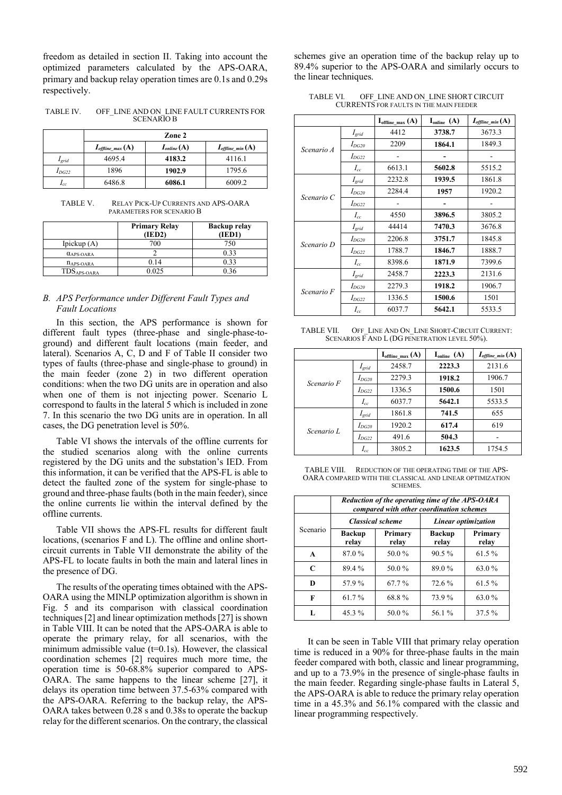freedom as detailed in section II. Taking into account the optimized parameters calculated by the APS-OARA, primary and backup relay operation times are 0.1s and 0.29s respectively.

TABLE IV. OFF\_LINE AND ON\_LINE FAULT CURRENTS FOR SCENARIO B

|            | Zone 2                              |                 |                             |  |  |
|------------|-------------------------------------|-----------------|-----------------------------|--|--|
|            | $I_{\text{offline}\_\text{max}}(A)$ | $I_{online}(A)$ | $I_{\text{offline min}}(A)$ |  |  |
| $I_{grid}$ | 4695.4                              | 4183.2          | 4116.1                      |  |  |
| $I_{DG22}$ | 1896                                | 1902.9          | 1795.6                      |  |  |
| $I_{cc}$   | 6486.8                              | 6086.1          | 6009.2                      |  |  |

TABLE V. RELAY PICK-UP CURRENTS AND APS-OARA PARAMETERS FOR SCENARIO B

|                              | <b>Primary Relay</b><br>(IED2) | <b>Backup relay</b><br>(IED1) |
|------------------------------|--------------------------------|-------------------------------|
| Ipickup $(A)$                | 700                            | 750                           |
| $\alpha$ <sub>APS-OARA</sub> |                                | 0.33                          |
| $n_{APS-OARA}$               | 0.14                           | 0.33                          |
| TDS <sub>APS-OARA</sub>      | 0.025                          | 0 36                          |

## *B. APS Performance under Different Fault Types and Fault Locations*

In this section, the APS performance is shown for different fault types (three-phase and single-phase-toground) and different fault locations (main feeder, and lateral). Scenarios A, C, D and F of Table II consider two types of faults (three-phase and single-phase to ground) in the main feeder (zone 2) in two different operation conditions: when the two DG units are in operation and also when one of them is not injecting power. Scenario L correspond to faults in the lateral 5 which is included in zone 7. In this scenario the two DG units are in operation. In all cases, the DG penetration level is 50%.

Table VI shows the intervals of the offline currents for the studied scenarios along with the online currents registered by the DG units and the substation's IED. From this information, it can be verified that the APS-FL is able to detect the faulted zone of the system for single-phase to ground and three-phase faults (both in the main feeder), since the online currents lie within the interval defined by the offline currents.

Table VII shows the APS-FL results for different fault locations, (scenarios F and L). The offline and online shortcircuit currents in Table VII demonstrate the ability of the APS-FL to locate faults in both the main and lateral lines in the presence of DG.

The results of the operating times obtained with the APS-OARA using the MINLP optimization algorithm is shown in Fig. 5 and its comparison with classical coordination techniques [2] and linear optimization methods [27] is shown in Table VIII. It can be noted that the APS-OARA is able to operate the primary relay, for all scenarios, with the minimum admissible value  $(t=0.1s)$ . However, the classical coordination schemes [2] requires much more time, the operation time is 50-68.8% superior compared to APS-OARA. The same happens to the linear scheme [27], it delays its operation time between 37.5-63% compared with the APS-OARA. Referring to the backup relay, the APS-OARA takes between 0.28 s and 0.38s to operate the backup relay for the different scenarios. On the contrary, the classical

schemes give an operation time of the backup relay up to 89.4% superior to the APS-OARA and similarly occurs to the linear techniques.

TABLE VI. OFF LINE AND ON LINE SHORT CIRCUIT CURRENTS FOR FAULTS IN THE MAIN FEEDER

|            |            | $I_{\text{offline max}}(A)$ | $I_{\text{online}}(A)$ | $I_{\text{offline min}}(\text{A})$ |
|------------|------------|-----------------------------|------------------------|------------------------------------|
|            | $I_{grid}$ | 4412                        | 3738.7                 | 3673.3                             |
| Scenario A | $I_{DG20}$ | 2209                        | 1864.1                 | 1849.3                             |
|            | $I_{DG22}$ |                             |                        |                                    |
|            | $I_{cc}$   | 6613.1                      | 5602.8                 | 5515.2                             |
|            | $I_{grid}$ | 2232.8                      | 1939.5                 | 1861.8                             |
|            | $I_{DG20}$ | 2284.4                      | 1957                   | 1920.2                             |
| Scenario C | $I_{DG22}$ |                             |                        |                                    |
|            | $I_{cc}$   | 4550                        | 3896.5                 | 3805.2                             |
|            | $I_{grid}$ | 44414                       | 7470.3                 | 3676.8                             |
| Scenario D | $I_{DG20}$ | 2206.8                      | 3751.7                 | 1845.8                             |
|            | $I_{DG22}$ | 1788.7                      | 1846.7                 | 1888.7                             |
|            | $I_{cc}$   | 8398.6                      | 1871.9                 | 7399.6                             |
| Scenario F | $I_{grid}$ | 2458.7                      | 2223.3                 | 2131.6                             |
|            | $I_{DG20}$ | 2279.3                      | 1918.2                 | 1906.7                             |
|            | $I_{DG22}$ | 1336.5                      | 1500.6                 | 1501                               |
|            | $I_{cc}$   | 6037.7                      | 5642.1                 | 5533.5                             |

TABLE VII. OFF\_LINE AND ON\_LINE SHORT-CIRCUIT CURRENT: SCENARIOS F AND L (DG PENETRATION LEVEL 50%).

|            |            | $\mathbf{I}_{\text{offline max}}(A)$ | $I_{\text{online}}(A)$ | $I_{\text{offline}}$ min $(A)$ |
|------------|------------|--------------------------------------|------------------------|--------------------------------|
| Scenario F | $I_{grid}$ | 2458.7                               | 2223.3                 | 2131.6                         |
|            | $I_{DG20}$ | 2279.3                               | 1918.2                 | 1906.7                         |
|            | $I_{DG22}$ | 1336.5                               | 1500.6                 | 1501                           |
|            | $I_{cc}$   | 6037.7                               | 5642.1                 | 5533.5                         |
|            | $I_{grid}$ | 1861.8                               | 741.5                  | 655                            |
| Scenario L | $I_{DG20}$ | 1920.2                               | 617.4                  | 619                            |
|            | $I_{DG22}$ | 491.6                                | 504.3                  |                                |
|            | $I_{cc}$   | 3805.2                               | 1623.5                 | 1754.5                         |

TABLE VIII. REDUCTION OF THE OPERATING TIME OF THE APS-OARA COMPARED WITH THE CLASSICAL AND LINEAR OPTIMIZATION SCHEMES.

|              | Reduction of the operating time of the APS-OARA<br>compared with other coordination schemes |                         |                        |                  |
|--------------|---------------------------------------------------------------------------------------------|-------------------------|------------------------|------------------|
|              |                                                                                             | <b>Classical scheme</b> | Linear optimization    |                  |
| Scenario     | <b>Backup</b><br>relay                                                                      | Primary<br>relay        | <b>Backup</b><br>relay | Primary<br>relay |
| A            | 87.0%                                                                                       | 50.0%                   | $90.5\%$               | 61.5%            |
| $\mathsf{C}$ | 89.4%                                                                                       | 50.0%                   | 89.0%                  | 63.0%            |
| D            | 57.9%                                                                                       | 67.7%                   | 72.6 %                 | 61.5%            |
| F            | 61.7%                                                                                       | 68.8%                   | 73.9%                  | 63.0%            |
| L            | $45.3\%$                                                                                    | 50.0%                   | 56.1%                  | 37.5 %           |

It can be seen in Table VIII that primary relay operation time is reduced in a 90% for three-phase faults in the main feeder compared with both, classic and linear programming, and up to a 73.9% in the presence of single-phase faults in the main feeder. Regarding single-phase faults in Lateral 5, the APS-OARA is able to reduce the primary relay operation time in a 45.3% and 56.1% compared with the classic and linear programming respectively.